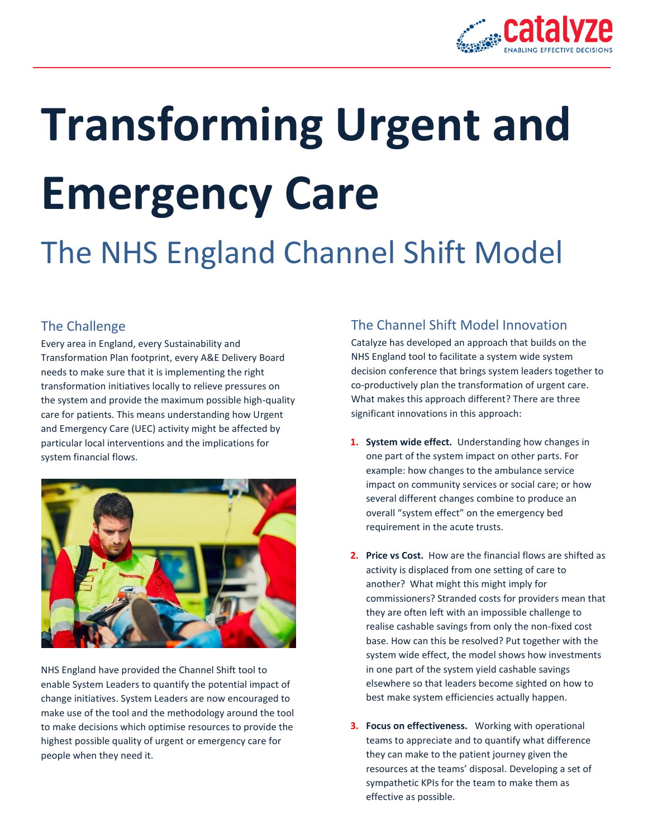

# **Transforming Urgent and Emergency Care**

## The NHS England Channel Shift Model

### The Challenge

Every area in England, every Sustainability and Transformation Plan footprint, every A&E Delivery Board needs to make sure that it is implementing the right transformation initiatives locally to relieve pressures on the system and provide the maximum possible high-quality care for patients. This means understanding how Urgent and Emergency Care (UEC) activity might be affected by particular local interventions and the implications for system financial flows.



NHS England have provided the Channel Shift tool to enable System Leaders to quantify the potential impact of change initiatives. System Leaders are now encouraged to make use of the tool and the methodology around the tool to make decisions which optimise resources to provide the highest possible quality of urgent or emergency care for people when they need it.

#### The Channel Shift Model Innovation

Catalyze has developed an approach that builds on the NHS England tool to facilitate a system wide system decision conference that brings system leaders together to co-productively plan the transformation of urgent care. What makes this approach different? There are three significant innovations in this approach:

- **1. System wide effect.** Understanding how changes in one part of the system impact on other parts. For example: how changes to the ambulance service impact on community services or social care; or how several different changes combine to produce an overall "system effect" on the emergency bed requirement in the acute trusts.
- **2. Price vs Cost.** How are the financial flows are shifted as activity is displaced from one setting of care to another? What might this might imply for commissioners? Stranded costs for providers mean that they are often left with an impossible challenge to realise cashable savings from only the non-fixed cost base. How can this be resolved? Put together with the system wide effect, the model shows how investments in one part of the system yield cashable savings elsewhere so that leaders become sighted on how to best make system efficiencies actually happen.
- **3. Focus on effectiveness.** Working with operational teams to appreciate and to quantify what difference they can make to the patient journey given the resources at the teams' disposal. Developing a set of sympathetic KPIs for the team to make them as effective as possible.